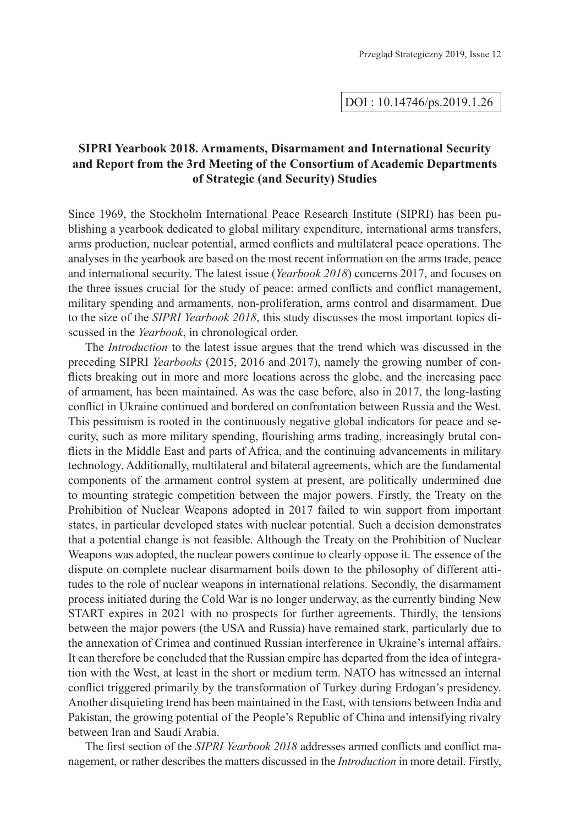## **SIPRI Yearbook 2018. Armaments, Disarmament and International Security and Report from the 3rd Meeting of the Consortium of Academic Departments of Strategic (and Security) Studies**

Since 1969, the Stockholm International Peace Research Institute (SIPRI) has been publishing a yearbook dedicated to global military expenditure, international arms transfers, arms production, nuclear potential, armed conflicts and multilateral peace operations. The analyses in the yearbook are based on the most recent information on the arms trade, peace and international security. The latest issue (*Yearbook 2018*) concerns 2017, and focuses on the three issues crucial for the study of peace: armed conflicts and conflict management, military spending and armaments, non-proliferation, arms control and disarmament. Due to the size of the *SIPRI Yearbook 2018*, this study discusses the most important topics discussed in the *Yearbook*, in chronological order.

The *Introduction* to the latest issue argues that the trend which was discussed in the preceding SIPRI *Yearbooks* (2015, 2016 and 2017), namely the growing number of conflicts breaking out in more and more locations across the globe, and the increasing pace of armament, has been maintained. As was the case before, also in 2017, the long-lasting conflict in Ukraine continued and bordered on confrontation between Russia and the West. This pessimism is rooted in the continuously negative global indicators for peace and security, such as more military spending, flourishing arms trading, increasingly brutal conflicts in the Middle East and parts of Africa, and the continuing advancements in military technology. Additionally, multilateral and bilateral agreements, which are the fundamental components of the armament control system at present, are politically undermined due to mounting strategic competition between the major powers. Firstly, the Treaty on the Prohibition of Nuclear Weapons adopted in 2017 failed to win support from important states, in particular developed states with nuclear potential. Such a decision demonstrates that a potential change is not feasible. Although the Treaty on the Prohibition of Nuclear Weapons was adopted, the nuclear powers continue to clearly oppose it. The essence of the dispute on complete nuclear disarmament boils down to the philosophy of different attitudes to the role of nuclear weapons in international relations. Secondly, the disarmament process initiated during the Cold War is no longer underway, as the currently binding New START expires in 2021 with no prospects for further agreements. Thirdly, the tensions between the major powers (the USA and Russia) have remained stark, particularly due to the annexation of Crimea and continued Russian interference in Ukraine's internal affairs. It can therefore be concluded that the Russian empire has departed from the idea of integration with the West, at least in the short or medium term. NATO has witnessed an internal conflict triggered primarily by the transformation of Turkey during Erdogan's presidency. Another disquieting trend has been maintained in the East, with tensions between India and Pakistan, the growing potential of the People's Republic of China and intensifying rivalry between Iran and Saudi Arabia.

The first section of the *SIPRI Yearbook 2018* addresses armed conflicts and conflict management, or rather describes the matters discussed in the *Introduction* in more detail. Firstly,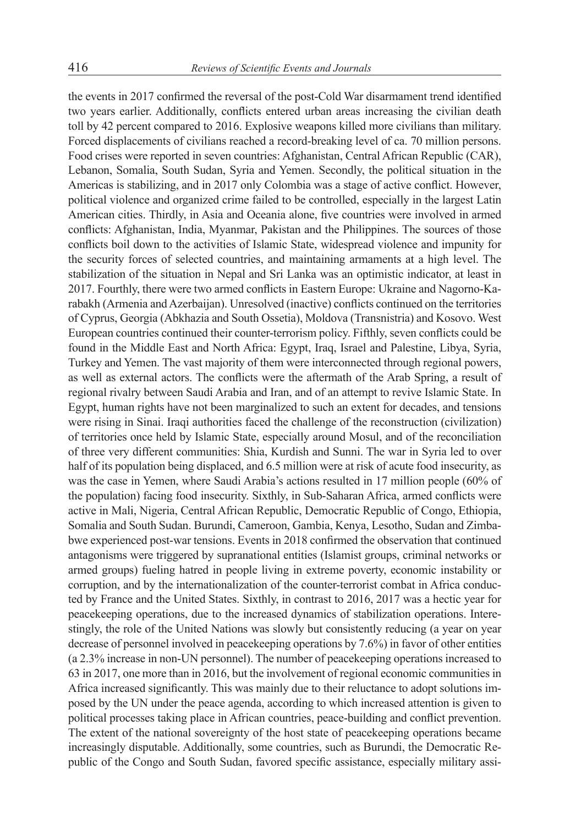the events in 2017 confirmed the reversal of the post-Cold War disarmament trend identified two years earlier. Additionally, conflicts entered urban areas increasing the civilian death toll by 42 percent compared to 2016. Explosive weapons killed more civilians than military. Forced displacements of civilians reached a record-breaking level of ca. 70 million persons. Food crises were reported in seven countries: Afghanistan, Central African Republic (CAR), Lebanon, Somalia, South Sudan, Syria and Yemen. Secondly, the political situation in the Americas is stabilizing, and in 2017 only Colombia was a stage of active conflict. However, political violence and organized crime failed to be controlled, especially in the largest Latin American cities. Thirdly, in Asia and Oceania alone, five countries were involved in armed conflicts: Afghanistan, India, Myanmar, Pakistan and the Philippines. The sources of those conflicts boil down to the activities of Islamic State, widespread violence and impunity for the security forces of selected countries, and maintaining armaments at a high level. The stabilization of the situation in Nepal and Sri Lanka was an optimistic indicator, at least in 2017. Fourthly, there were two armed conflicts in Eastern Europe: Ukraine and Nagorno-Karabakh (Armenia and Azerbaijan). Unresolved (inactive) conflicts continued on the territories of Cyprus, Georgia (Abkhazia and South Ossetia), Moldova (Transnistria) and Kosovo. West European countries continued their counter-terrorism policy. Fifthly, seven conflicts could be found in the Middle East and North Africa: Egypt, Iraq, Israel and Palestine, Libya, Syria, Turkey and Yemen. The vast majority of them were interconnected through regional powers, as well as external actors. The conflicts were the aftermath of the Arab Spring, a result of regional rivalry between Saudi Arabia and Iran, and of an attempt to revive Islamic State. In Egypt, human rights have not been marginalized to such an extent for decades, and tensions were rising in Sinai. Iraqi authorities faced the challenge of the reconstruction (civilization) of territories once held by Islamic State, especially around Mosul, and of the reconciliation of three very different communities: Shia, Kurdish and Sunni. The war in Syria led to over half of its population being displaced, and 6.5 million were at risk of acute food insecurity, as was the case in Yemen, where Saudi Arabia's actions resulted in 17 million people (60% of the population) facing food insecurity. Sixthly, in Sub-Saharan Africa, armed conflicts were active in Mali, Nigeria, Central African Republic, Democratic Republic of Congo, Ethiopia, Somalia and South Sudan. Burundi, Cameroon, Gambia, Kenya, Lesotho, Sudan and Zimbabwe experienced post-war tensions. Events in 2018 confirmed the observation that continued antagonisms were triggered by supranational entities (Islamist groups, criminal networks or armed groups) fueling hatred in people living in extreme poverty, economic instability or corruption, and by the internationalization of the counter-terrorist combat in Africa conducted by France and the United States. Sixthly, in contrast to 2016, 2017 was a hectic year for peacekeeping operations, due to the increased dynamics of stabilization operations. Interestingly, the role of the United Nations was slowly but consistently reducing (a year on year decrease of personnel involved in peacekeeping operations by 7.6%) in favor of other entities (a 2.3% increase in non-UN personnel). The number of peacekeeping operations increased to 63 in 2017, one more than in 2016, but the involvement of regional economic communities in Africa increased significantly. This was mainly due to their reluctance to adopt solutions imposed by the UN under the peace agenda, according to which increased attention is given to political processes taking place in African countries, peace-building and conflict prevention. The extent of the national sovereignty of the host state of peacekeeping operations became increasingly disputable. Additionally, some countries, such as Burundi, the Democratic Republic of the Congo and South Sudan, favored specific assistance, especially military assi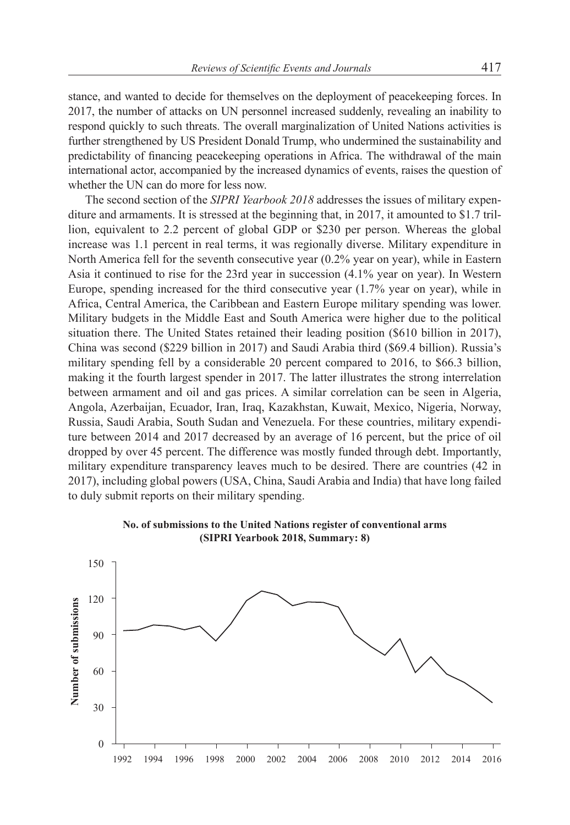stance, and wanted to decide for themselves on the deployment of peacekeeping forces. In 2017, the number of attacks on UN personnel increased suddenly, revealing an inability to respond quickly to such threats. The overall marginalization of United Nations activities is further strengthened by US President Donald Trump, who undermined the sustainability and predictability of financing peacekeeping operations in Africa. The withdrawal of the main international actor, accompanied by the increased dynamics of events, raises the question of whether the UN can do more for less now.

The second section of the *SIPRI Yearbook 2018* addresses the issues of military expenditure and armaments. It is stressed at the beginning that, in 2017, it amounted to \$1.7 trillion, equivalent to 2.2 percent of global GDP or \$230 per person. Whereas the global increase was 1.1 percent in real terms, it was regionally diverse. Military expenditure in North America fell for the seventh consecutive year (0.2% year on year), while in Eastern Asia it continued to rise for the 23rd year in succession (4.1% year on year). In Western Europe, spending increased for the third consecutive year (1.7% year on year), while in Africa, Central America, the Caribbean and Eastern Europe military spending was lower. Military budgets in the Middle East and South America were higher due to the political situation there. The United States retained their leading position (\$610 billion in 2017), China was second (\$229 billion in 2017) and Saudi Arabia third (\$69.4 billion). Russia's military spending fell by a considerable 20 percent compared to 2016, to \$66.3 billion, making it the fourth largest spender in 2017. The latter illustrates the strong interrelation between armament and oil and gas prices. A similar correlation can be seen in Algeria, Angola, Azerbaijan, Ecuador, Iran, Iraq, Kazakhstan, Kuwait, Mexico, Nigeria, Norway, Russia, Saudi Arabia, South Sudan and Venezuela. For these countries, military expenditure between 2014 and 2017 decreased by an average of 16 percent, but the price of oil dropped by over 45 percent. The difference was mostly funded through debt. Importantly, military expenditure transparency leaves much to be desired. There are countries (42 in 2017), including global powers (USA, China, Saudi Arabia and India) that have long failed to duly submit reports on their military spending.



**No. of submissions to the United Nations register of conventional arms (SIPRI Yearbook 2018, Summary: 8)**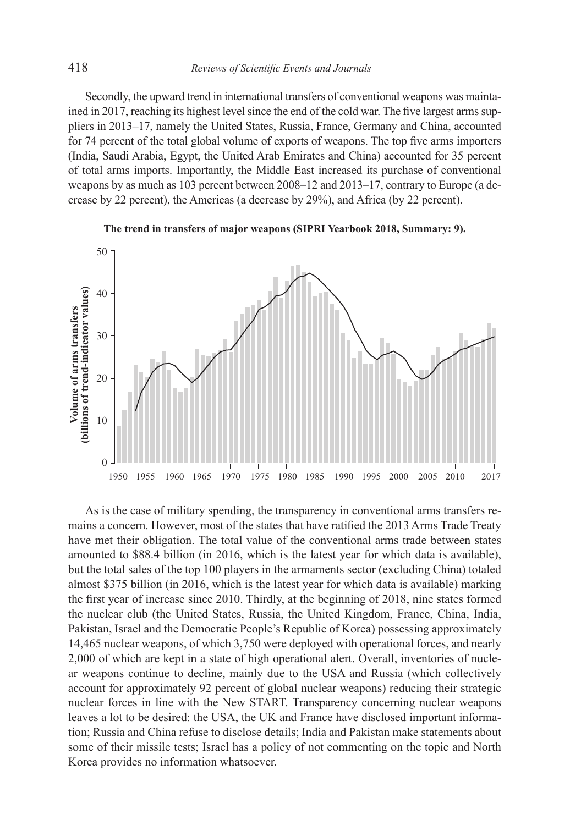Secondly, the upward trend in international transfers of conventional weapons was maintained in 2017, reaching its highest level since the end of the cold war. The five largest arms suppliers in 2013–17, namely the United States, Russia, France, Germany and China, accounted for 74 percent of the total global volume of exports of weapons. The top five arms importers (India, Saudi Arabia, Egypt, the United Arab Emirates and China) accounted for 35 percent of total arms imports. Importantly, the Middle East increased its purchase of conventional weapons by as much as 103 percent between 2008–12 and 2013–17, contrary to Europe (a decrease by 22 percent), the Americas (a decrease by 29%), and Africa (by 22 percent).





As is the case of military spending, the transparency in conventional arms transfers remains a concern. However, most of the states that have ratified the 2013 Arms Trade Treaty have met their obligation. The total value of the conventional arms trade between states amounted to \$88.4 billion (in 2016, which is the latest year for which data is available), but the total sales of the top 100 players in the armaments sector (excluding China) totaled almost \$375 billion (in 2016, which is the latest year for which data is available) marking the first year of increase since 2010. Thirdly, at the beginning of 2018, nine states formed the nuclear club (the United States, Russia, the United Kingdom, France, China, India, Pakistan, Israel and the Democratic People's Republic of Korea) possessing approximately 14,465 nuclear weapons, of which 3,750 were deployed with operational forces, and nearly 2,000 of which are kept in a state of high operational alert. Overall, inventories of nuclear weapons continue to decline, mainly due to the USA and Russia (which collectively account for approximately 92 percent of global nuclear weapons) reducing their strategic nuclear forces in line with the New START. Transparency concerning nuclear weapons leaves a lot to be desired: the USA, the UK and France have disclosed important information; Russia and China refuse to disclose details; India and Pakistan make statements about some of their missile tests; Israel has a policy of not commenting on the topic and North Korea provides no information whatsoever.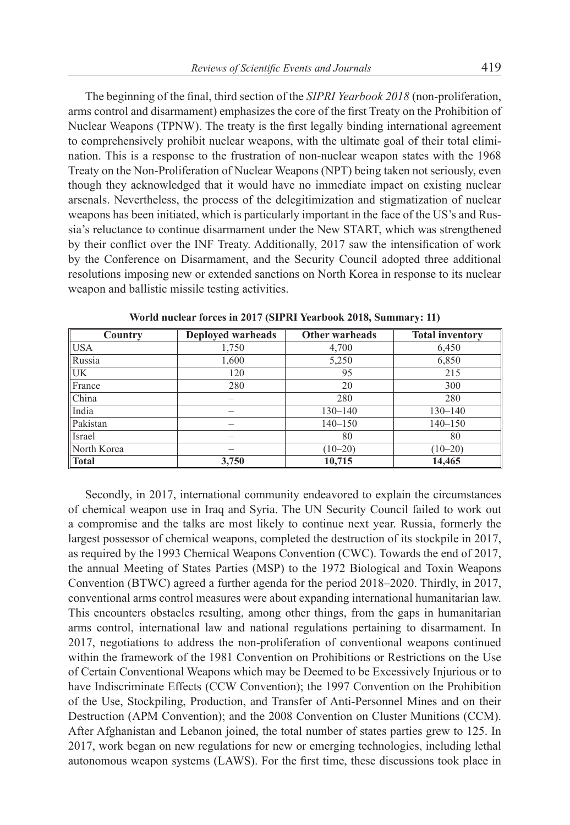The beginning of the final, third section of the *SIPRI Yearbook 2018* (non-proliferation, arms control and disarmament) emphasizes the core of the first Treaty on the Prohibition of Nuclear Weapons (TPNW). The treaty is the first legally binding international agreement to comprehensively prohibit nuclear weapons, with the ultimate goal of their total elimination. This is a response to the frustration of non-nuclear weapon states with the 1968 Treaty on the Non-Proliferation of Nuclear Weapons (NPT) being taken not seriously, even though they acknowledged that it would have no immediate impact on existing nuclear arsenals. Nevertheless, the process of the delegitimization and stigmatization of nuclear weapons has been initiated, which is particularly important in the face of the US's and Russia's reluctance to continue disarmament under the New START, which was strengthened by their conflict over the INF Treaty. Additionally, 2017 saw the intensification of work by the Conference on Disarmament, and the Security Council adopted three additional resolutions imposing new or extended sanctions on North Korea in response to its nuclear weapon and ballistic missile testing activities.

| Country      | <b>Deployed warheads</b> | <b>Other warheads</b> | <b>Total inventory</b> |
|--------------|--------------------------|-----------------------|------------------------|
| <b>USA</b>   | 1,750                    | 4,700                 | 6,450                  |
| Russia       | 1,600                    | 5,250                 | 6,850                  |
| UK           | 120                      | 95                    | 215                    |
| France       | 280                      | 20                    | 300                    |
| China        |                          | 280                   | 280                    |
| India        |                          | $130 - 140$           | $130 - 140$            |
| Pakistan     |                          | $140 - 150$           | $140 - 150$            |
| Israel       |                          | 80                    | 80                     |
| North Korea  |                          | $(10-20)$             | $(10-20)$              |
| <b>Total</b> | 3,750                    | 10,715                | 14,465                 |

**World nuclear forces in 2017 (SIPRI Yearbook 2018, Summary: 11)**

Secondly, in 2017, international community endeavored to explain the circumstances of chemical weapon use in Iraq and Syria. The UN Security Council failed to work out a compromise and the talks are most likely to continue next year. Russia, formerly the largest possessor of chemical weapons, completed the destruction of its stockpile in 2017, as required by the 1993 Chemical Weapons Convention (CWC). Towards the end of 2017, the annual Meeting of States Parties (MSP) to the 1972 Biological and Toxin Weapons Convention (BTWC) agreed a further agenda for the period 2018–2020. Thirdly, in 2017, conventional arms control measures were about expanding international humanitarian law. This encounters obstacles resulting, among other things, from the gaps in humanitarian arms control, international law and national regulations pertaining to disarmament. In 2017, negotiations to address the non-proliferation of conventional weapons continued within the framework of the 1981 Convention on Prohibitions or Restrictions on the Use of Certain Conventional Weapons which may be Deemed to be Excessively Injurious or to have Indiscriminate Effects (CCW Convention); the 1997 Convention on the Prohibition of the Use, Stockpiling, Production, and Transfer of Anti-Personnel Mines and on their Destruction (APM Convention); and the 2008 Convention on Cluster Munitions (CCM). After Afghanistan and Lebanon joined, the total number of states parties grew to 125. In 2017, work began on new regulations for new or emerging technologies, including lethal autonomous weapon systems (LAWS). For the first time, these discussions took place in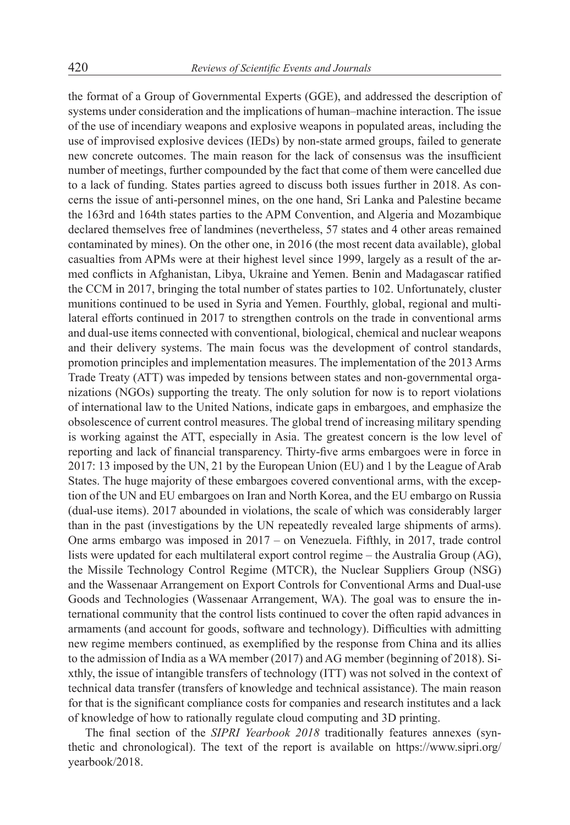the format of a Group of Governmental Experts (GGE), and addressed the description of systems under consideration and the implications of human–machine interaction. The issue of the use of incendiary weapons and explosive weapons in populated areas, including the use of improvised explosive devices (IEDs) by non-state armed groups, failed to generate new concrete outcomes. The main reason for the lack of consensus was the insufficient number of meetings, further compounded by the fact that come of them were cancelled due to a lack of funding. States parties agreed to discuss both issues further in 2018. As concerns the issue of anti-personnel mines, on the one hand, Sri Lanka and Palestine became the 163rd and 164th states parties to the APM Convention, and Algeria and Mozambique declared themselves free of landmines (nevertheless, 57 states and 4 other areas remained contaminated by mines). On the other one, in 2016 (the most recent data available), global casualties from APMs were at their highest level since 1999, largely as a result of the armed conflicts in Afghanistan, Libya, Ukraine and Yemen. Benin and Madagascar ratified the CCM in 2017, bringing the total number of states parties to 102. Unfortunately, cluster munitions continued to be used in Syria and Yemen. Fourthly, global, regional and multilateral efforts continued in 2017 to strengthen controls on the trade in conventional arms and dual-use items connected with conventional, biological, chemical and nuclear weapons and their delivery systems. The main focus was the development of control standards, promotion principles and implementation measures. The implementation of the 2013 Arms Trade Treaty (ATT) was impeded by tensions between states and non-governmental organizations (NGOs) supporting the treaty. The only solution for now is to report violations of international law to the United Nations, indicate gaps in embargoes, and emphasize the obsolescence of current control measures. The global trend of increasing military spending is working against the ATT, especially in Asia. The greatest concern is the low level of reporting and lack of financial transparency. Thirty-five arms embargoes were in force in 2017: 13 imposed by the UN, 21 by the European Union (EU) and 1 by the League of Arab States. The huge majority of these embargoes covered conventional arms, with the exception of the UN and EU embargoes on Iran and North Korea, and the EU embargo on Russia (dual-use items). 2017 abounded in violations, the scale of which was considerably larger than in the past (investigations by the UN repeatedly revealed large shipments of arms). One arms embargo was imposed in 2017 – on Venezuela. Fifthly, in 2017, trade control lists were updated for each multilateral export control regime – the Australia Group (AG), the Missile Technology Control Regime (MTCR), the Nuclear Suppliers Group (NSG) and the Wassenaar Arrangement on Export Controls for Conventional Arms and Dual-use Goods and Technologies (Wassenaar Arrangement, WA). The goal was to ensure the international community that the control lists continued to cover the often rapid advances in armaments (and account for goods, software and technology). Difficulties with admitting new regime members continued, as exemplified by the response from China and its allies to the admission of India as a WA member (2017) and AG member (beginning of 2018). Sixthly, the issue of intangible transfers of technology (ITT) was not solved in the context of technical data transfer (transfers of knowledge and technical assistance). The main reason for that is the significant compliance costs for companies and research institutes and a lack of knowledge of how to rationally regulate cloud computing and 3D printing.

The final section of the *SIPRI Yearbook 2018* traditionally features annexes (synthetic and chronological). The text of the report is available on https://www.sipri.org/ yearbook/2018.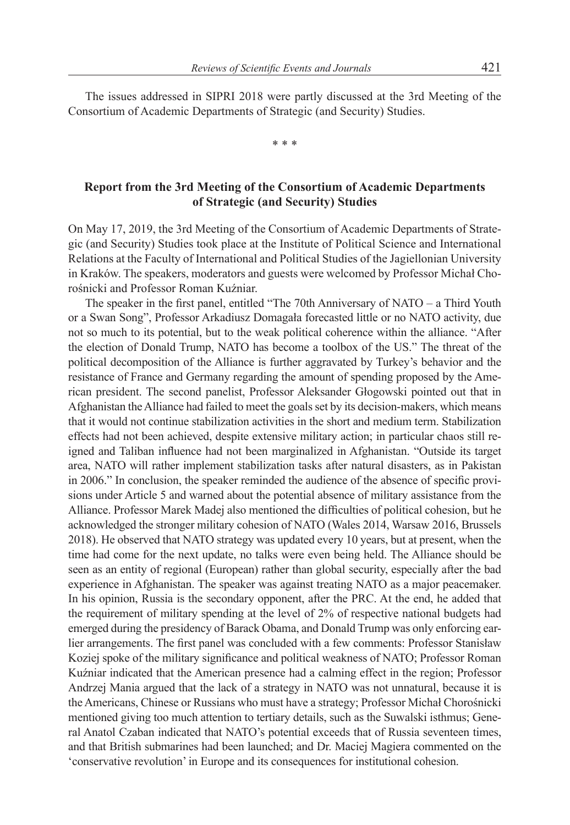The issues addressed in SIPRI 2018 were partly discussed at the 3rd Meeting of the Consortium of Academic Departments of Strategic (and Security) Studies.

\* \* \*

## **Report from the 3rd Meeting of the Consortium of Academic Departments of Strategic (and Security) Studies**

On May 17, 2019, the 3rd Meeting of the Consortium of Academic Departments of Strategic (and Security) Studies took place at the Institute of Political Science and International Relations at the Faculty of International and Political Studies of the Jagiellonian University in Kraków. The speakers, moderators and guests were welcomed by Professor Michał Chorośnicki and Professor Roman Kuźniar.

The speaker in the first panel, entitled "The 70th Anniversary of NATO – a Third Youth or a Swan Song", Professor Arkadiusz Domagała forecasted little or no NATO activity, due not so much to its potential, but to the weak political coherence within the alliance. "After the election of Donald Trump, NATO has become a toolbox of the US." The threat of the political decomposition of the Alliance is further aggravated by Turkey's behavior and the resistance of France and Germany regarding the amount of spending proposed by the American president. The second panelist, Professor Aleksander Głogowski pointed out that in Afghanistan the Alliance had failed to meet the goals set by its decision-makers, which means that it would not continue stabilization activities in the short and medium term. Stabilization effects had not been achieved, despite extensive military action; in particular chaos still reigned and Taliban influence had not been marginalized in Afghanistan. "Outside its target area, NATO will rather implement stabilization tasks after natural disasters, as in Pakistan in 2006." In conclusion, the speaker reminded the audience of the absence of specific provisions under Article 5 and warned about the potential absence of military assistance from the Alliance. Professor Marek Madej also mentioned the difficulties of political cohesion, but he acknowledged the stronger military cohesion of NATO (Wales 2014, Warsaw 2016, Brussels 2018). He observed that NATO strategy was updated every 10 years, but at present, when the time had come for the next update, no talks were even being held. The Alliance should be seen as an entity of regional (European) rather than global security, especially after the bad experience in Afghanistan. The speaker was against treating NATO as a major peacemaker. In his opinion, Russia is the secondary opponent, after the PRC. At the end, he added that the requirement of military spending at the level of 2% of respective national budgets had emerged during the presidency of Barack Obama, and Donald Trump was only enforcing earlier arrangements. The first panel was concluded with a few comments: Professor Stanisław Koziej spoke of the military significance and political weakness of NATO; Professor Roman Kuźniar indicated that the American presence had a calming effect in the region; Professor Andrzej Mania argued that the lack of a strategy in NATO was not unnatural, because it is the Americans, Chinese or Russians who must have a strategy; Professor Michał Chorośnicki mentioned giving too much attention to tertiary details, such as the Suwalski isthmus; General Anatol Czaban indicated that NATO's potential exceeds that of Russia seventeen times, and that British submarines had been launched; and Dr. Maciej Magiera commented on the 'conservative revolution' in Europe and its consequences for institutional cohesion.